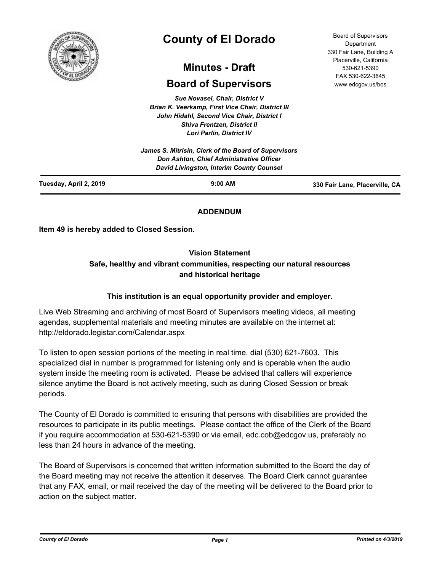

# **County of El Dorado**

## **Minutes - Draft**

## **Board of Supervisors**

*Sue Novasel, Chair, District V Brian K. Veerkamp, First Vice Chair, District III John Hidahl, Second Vice Chair, District I Shiva Frentzen, District II Lori Parlin, District IV*

| Tuesday, April 2, 2019 | $9:00$ AM                                                                                                                                    | 330 Fair Lane, Placerville, CA |
|------------------------|----------------------------------------------------------------------------------------------------------------------------------------------|--------------------------------|
|                        | James S. Mitrisin, Clerk of the Board of Supervisors<br>Don Ashton, Chief Administrative Officer<br>David Livingston, Interim County Counsel |                                |
|                        |                                                                                                                                              |                                |

### **ADDENDUM**

**Item 49 is hereby added to Closed Session.**

#### **Vision Statement**

## **Safe, healthy and vibrant communities, respecting our natural resources and historical heritage**

#### **This institution is an equal opportunity provider and employer.**

Live Web Streaming and archiving of most Board of Supervisors meeting videos, all meeting agendas, supplemental materials and meeting minutes are available on the internet at: http://eldorado.legistar.com/Calendar.aspx

To listen to open session portions of the meeting in real time, dial (530) 621-7603. This specialized dial in number is programmed for listening only and is operable when the audio system inside the meeting room is activated. Please be advised that callers will experience silence anytime the Board is not actively meeting, such as during Closed Session or break periods.

The County of El Dorado is committed to ensuring that persons with disabilities are provided the resources to participate in its public meetings. Please contact the office of the Clerk of the Board if you require accommodation at 530-621-5390 or via email, edc.cob@edcgov.us, preferably no less than 24 hours in advance of the meeting.

The Board of Supervisors is concerned that written information submitted to the Board the day of the Board meeting may not receive the attention it deserves. The Board Clerk cannot guarantee that any FAX, email, or mail received the day of the meeting will be delivered to the Board prior to action on the subject matter.

Board of Supervisors Department 330 Fair Lane, Building A Placerville, California 530-621-5390 FAX 530-622-3645 www.edcgov.us/bos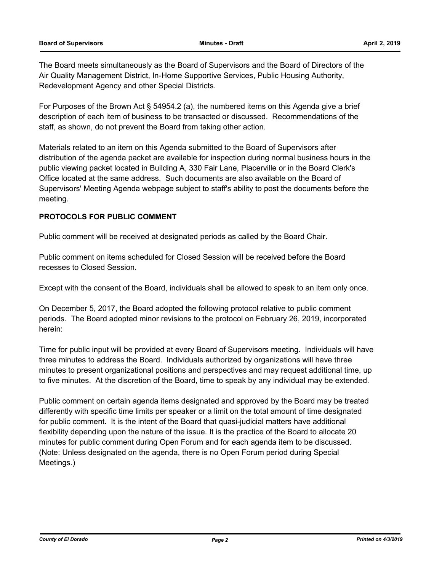The Board meets simultaneously as the Board of Supervisors and the Board of Directors of the Air Quality Management District, In-Home Supportive Services, Public Housing Authority, Redevelopment Agency and other Special Districts.

For Purposes of the Brown Act § 54954.2 (a), the numbered items on this Agenda give a brief description of each item of business to be transacted or discussed. Recommendations of the staff, as shown, do not prevent the Board from taking other action.

Materials related to an item on this Agenda submitted to the Board of Supervisors after distribution of the agenda packet are available for inspection during normal business hours in the public viewing packet located in Building A, 330 Fair Lane, Placerville or in the Board Clerk's Office located at the same address. Such documents are also available on the Board of Supervisors' Meeting Agenda webpage subject to staff's ability to post the documents before the meeting.

#### **PROTOCOLS FOR PUBLIC COMMENT**

Public comment will be received at designated periods as called by the Board Chair.

Public comment on items scheduled for Closed Session will be received before the Board recesses to Closed Session.

Except with the consent of the Board, individuals shall be allowed to speak to an item only once.

On December 5, 2017, the Board adopted the following protocol relative to public comment periods. The Board adopted minor revisions to the protocol on February 26, 2019, incorporated herein:

Time for public input will be provided at every Board of Supervisors meeting. Individuals will have three minutes to address the Board. Individuals authorized by organizations will have three minutes to present organizational positions and perspectives and may request additional time, up to five minutes. At the discretion of the Board, time to speak by any individual may be extended.

Public comment on certain agenda items designated and approved by the Board may be treated differently with specific time limits per speaker or a limit on the total amount of time designated for public comment. It is the intent of the Board that quasi-judicial matters have additional flexibility depending upon the nature of the issue. It is the practice of the Board to allocate 20 minutes for public comment during Open Forum and for each agenda item to be discussed. (Note: Unless designated on the agenda, there is no Open Forum period during Special Meetings.)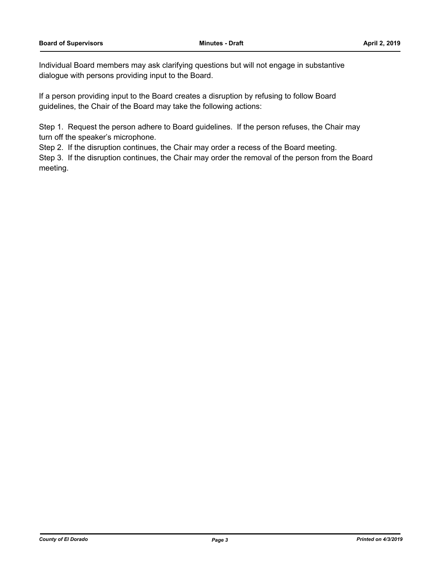Individual Board members may ask clarifying questions but will not engage in substantive dialogue with persons providing input to the Board.

If a person providing input to the Board creates a disruption by refusing to follow Board guidelines, the Chair of the Board may take the following actions:

Step 1. Request the person adhere to Board guidelines. If the person refuses, the Chair may turn off the speaker's microphone.

Step 2. If the disruption continues, the Chair may order a recess of the Board meeting.

Step 3. If the disruption continues, the Chair may order the removal of the person from the Board meeting.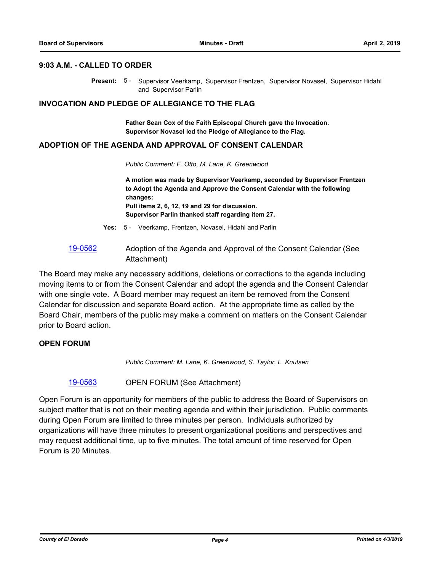#### **9:03 A.M. - CALLED TO ORDER**

Present: 5 - Supervisor Veerkamp, Supervisor Frentzen, Supervisor Novasel, Supervisor Hidahl and Supervisor Parlin

#### **INVOCATION AND PLEDGE OF ALLEGIANCE TO THE FLAG**

**Father Sean Cox of the Faith Episcopal Church gave the Invocation. Supervisor Novasel led the Pledge of Allegiance to the Flag.**

#### **ADOPTION OF THE AGENDA AND APPROVAL OF CONSENT CALENDAR**

*Public Comment: F. Otto, M. Lane, K. Greenwood*

**A motion was made by Supervisor Veerkamp, seconded by Supervisor Frentzen to Adopt the Agenda and Approve the Consent Calendar with the following changes: Pull items 2, 6, 12, 19 and 29 for discussion. Supervisor Parlin thanked staff regarding item 27.**

- **Yes:** 5 Veerkamp, Frentzen, Novasel, Hidahl and Parlin
- [19-0562](http://eldorado.legistar.com/gateway.aspx?m=l&id=/matter.aspx?key=25883) Adoption of the Agenda and Approval of the Consent Calendar (See Attachment)

The Board may make any necessary additions, deletions or corrections to the agenda including moving items to or from the Consent Calendar and adopt the agenda and the Consent Calendar with one single vote. A Board member may request an item be removed from the Consent Calendar for discussion and separate Board action. At the appropriate time as called by the Board Chair, members of the public may make a comment on matters on the Consent Calendar prior to Board action.

#### **OPEN FORUM**

*Public Comment: M. Lane, K. Greenwood, S. Taylor, L. Knutsen*

[19-0563](http://eldorado.legistar.com/gateway.aspx?m=l&id=/matter.aspx?key=25884) OPEN FORUM (See Attachment)

Open Forum is an opportunity for members of the public to address the Board of Supervisors on subject matter that is not on their meeting agenda and within their jurisdiction. Public comments during Open Forum are limited to three minutes per person. Individuals authorized by organizations will have three minutes to present organizational positions and perspectives and may request additional time, up to five minutes. The total amount of time reserved for Open Forum is 20 Minutes.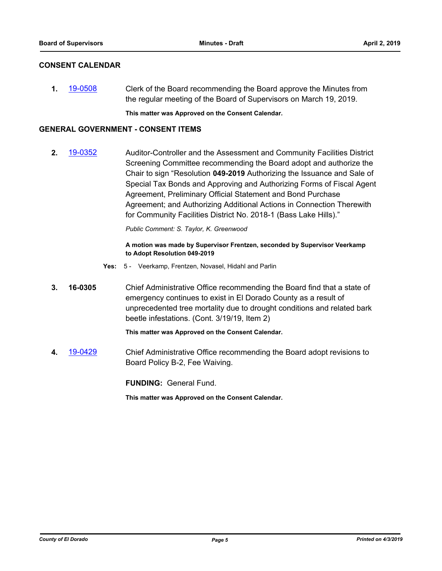#### **CONSENT CALENDAR**

**1.** [19-0508](http://eldorado.legistar.com/gateway.aspx?m=l&id=/matter.aspx?key=25829) Clerk of the Board recommending the Board approve the Minutes from the regular meeting of the Board of Supervisors on March 19, 2019.

**This matter was Approved on the Consent Calendar.**

#### **GENERAL GOVERNMENT - CONSENT ITEMS**

**2.** [19-0352](http://eldorado.legistar.com/gateway.aspx?m=l&id=/matter.aspx?key=25673) Auditor-Controller and the Assessment and Community Facilities District Screening Committee recommending the Board adopt and authorize the Chair to sign "Resolution **049-2019** Authorizing the Issuance and Sale of Special Tax Bonds and Approving and Authorizing Forms of Fiscal Agent Agreement, Preliminary Official Statement and Bond Purchase Agreement; and Authorizing Additional Actions in Connection Therewith for Community Facilities District No. 2018-1 (Bass Lake Hills)."

*Public Comment: S. Taylor, K. Greenwood*

#### **A motion was made by Supervisor Frentzen, seconded by Supervisor Veerkamp to Adopt Resolution 049-2019**

- **Yes:** 5 Veerkamp, Frentzen, Novasel, Hidahl and Parlin
- **3. 16-0305** Chief Administrative Office recommending the Board find that a state of emergency continues to exist in El Dorado County as a result of unprecedented tree mortality due to drought conditions and related bark beetle infestations. (Cont. 3/19/19, Item 2)

**This matter was Approved on the Consent Calendar.**

**4.** [19-0429](http://eldorado.legistar.com/gateway.aspx?m=l&id=/matter.aspx?key=25750) Chief Administrative Office recommending the Board adopt revisions to Board Policy B-2, Fee Waiving.

**FUNDING:** General Fund.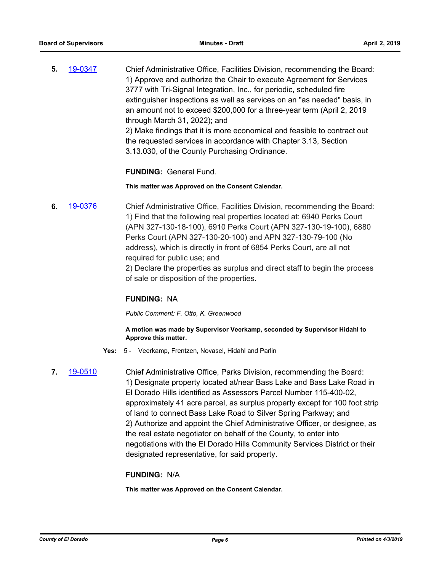**5.** [19-0347](http://eldorado.legistar.com/gateway.aspx?m=l&id=/matter.aspx?key=25668) Chief Administrative Office, Facilities Division, recommending the Board: 1) Approve and authorize the Chair to execute Agreement for Services 3777 with Tri-Signal Integration, Inc., for periodic, scheduled fire extinguisher inspections as well as services on an "as needed" basis, in an amount not to exceed \$200,000 for a three-year term (April 2, 2019 through March 31, 2022); and 2) Make findings that it is more economical and feasible to contract out the requested services in accordance with Chapter 3.13, Section 3.13.030, of the County Purchasing Ordinance.

**FUNDING:** General Fund.

#### **This matter was Approved on the Consent Calendar.**

**6.** [19-0376](http://eldorado.legistar.com/gateway.aspx?m=l&id=/matter.aspx?key=25697) Chief Administrative Office, Facilities Division, recommending the Board: 1) Find that the following real properties located at: 6940 Perks Court (APN 327-130-18-100), 6910 Perks Court (APN 327-130-19-100), 6880 Perks Court (APN 327-130-20-100) and APN 327-130-79-100 (No address), which is directly in front of 6854 Perks Court, are all not required for public use; and

2) Declare the properties as surplus and direct staff to begin the process of sale or disposition of the properties.

#### **FUNDING:** NA

*Public Comment: F. Otto, K. Greenwood*

#### **A motion was made by Supervisor Veerkamp, seconded by Supervisor Hidahl to Approve this matter.**

- **Yes:** 5 Veerkamp, Frentzen, Novasel, Hidahl and Parlin
- 

**7.** [19-0510](http://eldorado.legistar.com/gateway.aspx?m=l&id=/matter.aspx?key=25831) Chief Administrative Office, Parks Division, recommending the Board: 1) Designate property located at/near Bass Lake and Bass Lake Road in El Dorado Hills identified as Assessors Parcel Number 115-400-02, approximately 41 acre parcel, as surplus property except for 100 foot strip of land to connect Bass Lake Road to Silver Spring Parkway; and 2) Authorize and appoint the Chief Administrative Officer, or designee, as the real estate negotiator on behalf of the County, to enter into negotiations with the El Dorado Hills Community Services District or their designated representative, for said property.

#### **FUNDING:** N/A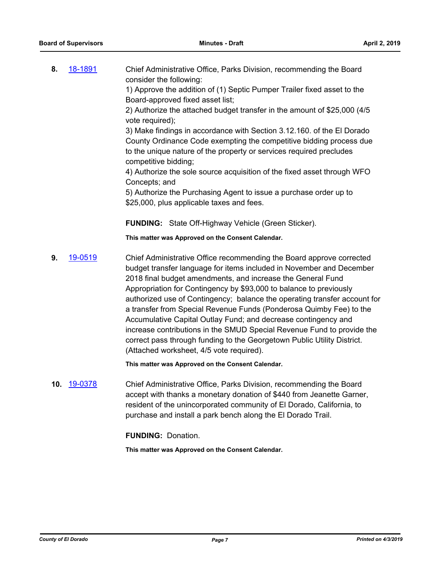**8.** [18-1891](http://eldorado.legistar.com/gateway.aspx?m=l&id=/matter.aspx?key=25241) Chief Administrative Office, Parks Division, recommending the Board consider the following:

1) Approve the addition of (1) Septic Pumper Trailer fixed asset to the Board-approved fixed asset list;

2) Authorize the attached budget transfer in the amount of \$25,000 (4/5 vote required);

3) Make findings in accordance with Section 3.12.160. of the El Dorado County Ordinance Code exempting the competitive bidding process due to the unique nature of the property or services required precludes competitive bidding;

4) Authorize the sole source acquisition of the fixed asset through WFO Concepts; and

5) Authorize the Purchasing Agent to issue a purchase order up to \$25,000, plus applicable taxes and fees.

**FUNDING:** State Off-Highway Vehicle (Green Sticker).

**This matter was Approved on the Consent Calendar.**

**9.** [19-0519](http://eldorado.legistar.com/gateway.aspx?m=l&id=/matter.aspx?key=25840) Chief Administrative Office recommending the Board approve corrected budget transfer language for items included in November and December 2018 final budget amendments, and increase the General Fund Appropriation for Contingency by \$93,000 to balance to previously authorized use of Contingency; balance the operating transfer account for a transfer from Special Revenue Funds (Ponderosa Quimby Fee) to the Accumulative Capital Outlay Fund; and decrease contingency and increase contributions in the SMUD Special Revenue Fund to provide the correct pass through funding to the Georgetown Public Utility District. (Attached worksheet, 4/5 vote required).

**This matter was Approved on the Consent Calendar.**

**10.** [19-0378](http://eldorado.legistar.com/gateway.aspx?m=l&id=/matter.aspx?key=25699) Chief Administrative Office, Parks Division, recommending the Board accept with thanks a monetary donation of \$440 from Jeanette Garner, resident of the unincorporated community of El Dorado, California, to purchase and install a park bench along the El Dorado Trail.

**FUNDING:** Donation.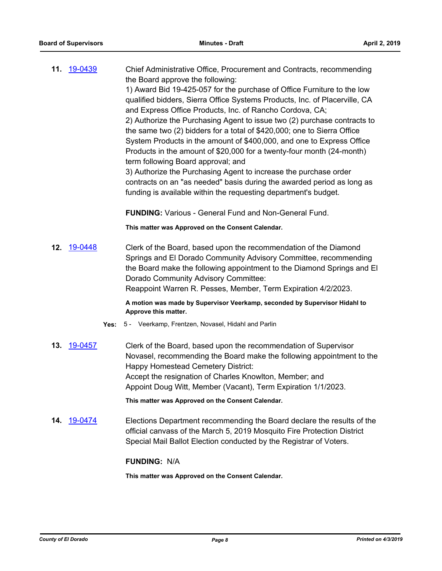**11.** [19-0439](http://eldorado.legistar.com/gateway.aspx?m=l&id=/matter.aspx?key=25760) Chief Administrative Office, Procurement and Contracts, recommending the Board approve the following: 1) Award Bid 19-425-057 for the purchase of Office Furniture to the low qualified bidders, Sierra Office Systems Products, Inc. of Placerville, CA and Express Office Products, Inc. of Rancho Cordova, CA; 2) Authorize the Purchasing Agent to issue two (2) purchase contracts to the same two (2) bidders for a total of \$420,000; one to Sierra Office System Products in the amount of \$400,000, and one to Express Office Products in the amount of \$20,000 for a twenty-four month (24-month) term following Board approval; and 3) Authorize the Purchasing Agent to increase the purchase order contracts on an "as needed" basis during the awarded period as long as funding is available within the requesting department's budget.

**FUNDING:** Various - General Fund and Non-General Fund.

**This matter was Approved on the Consent Calendar.**

**12.** [19-0448](http://eldorado.legistar.com/gateway.aspx?m=l&id=/matter.aspx?key=25769) Clerk of the Board, based upon the recommendation of the Diamond Springs and El Dorado Community Advisory Committee, recommending the Board make the following appointment to the Diamond Springs and El Dorado Community Advisory Committee: Reappoint Warren R. Pesses, Member, Term Expiration 4/2/2023.

> **A motion was made by Supervisor Veerkamp, seconded by Supervisor Hidahl to Approve this matter.**

- **Yes:** 5 Veerkamp, Frentzen, Novasel, Hidahl and Parlin
- **13.** [19-0457](http://eldorado.legistar.com/gateway.aspx?m=l&id=/matter.aspx?key=25778) Clerk of the Board, based upon the recommendation of Supervisor Novasel, recommending the Board make the following appointment to the Happy Homestead Cemetery District: Accept the resignation of Charles Knowlton, Member; and Appoint Doug Witt, Member (Vacant), Term Expiration 1/1/2023.

**This matter was Approved on the Consent Calendar.**

**14.** [19-0474](http://eldorado.legistar.com/gateway.aspx?m=l&id=/matter.aspx?key=25795) Elections Department recommending the Board declare the results of the official canvass of the March 5, 2019 Mosquito Fire Protection District Special Mail Ballot Election conducted by the Registrar of Voters.

#### **FUNDING:** N/A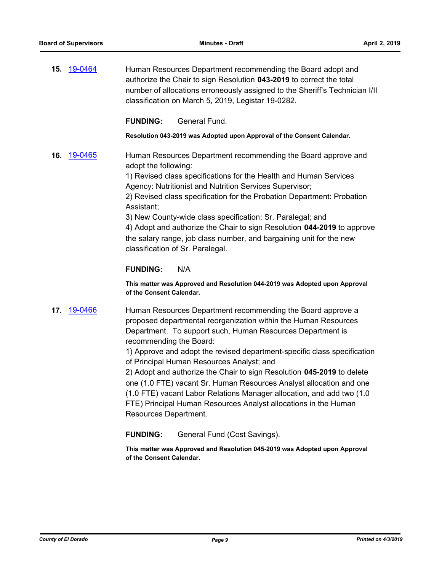**15.** [19-0464](http://eldorado.legistar.com/gateway.aspx?m=l&id=/matter.aspx?key=25785) Human Resources Department recommending the Board adopt and authorize the Chair to sign Resolution **043-2019** to correct the total number of allocations erroneously assigned to the Sheriff's Technician I/II classification on March 5, 2019, Legistar 19-0282.

#### **FUNDING:** General Fund.

**Resolution 043-2019 was Adopted upon Approval of the Consent Calendar.**

**16.** [19-0465](http://eldorado.legistar.com/gateway.aspx?m=l&id=/matter.aspx?key=25786) Human Resources Department recommending the Board approve and adopt the following:

> 1) Revised class specifications for the Health and Human Services Agency: Nutritionist and Nutrition Services Supervisor;

2) Revised class specification for the Probation Department: Probation Assistant;

3) New County-wide class specification: Sr. Paralegal; and 4) Adopt and authorize the Chair to sign Resolution **044-2019** to approve the salary range, job class number, and bargaining unit for the new classification of Sr. Paralegal.

#### **FUNDING:** N/A

**This matter was Approved and Resolution 044-2019 was Adopted upon Approval of the Consent Calendar.**

**17.** [19-0466](http://eldorado.legistar.com/gateway.aspx?m=l&id=/matter.aspx?key=25787) Human Resources Department recommending the Board approve a proposed departmental reorganization within the Human Resources Department. To support such, Human Resources Department is recommending the Board:

> 1) Approve and adopt the revised department-specific class specification of Principal Human Resources Analyst; and

2) Adopt and authorize the Chair to sign Resolution **045-2019** to delete one (1.0 FTE) vacant Sr. Human Resources Analyst allocation and one (1.0 FTE) vacant Labor Relations Manager allocation, and add two (1.0 FTE) Principal Human Resources Analyst allocations in the Human Resources Department.

**FUNDING:** General Fund (Cost Savings).

**This matter was Approved and Resolution 045-2019 was Adopted upon Approval of the Consent Calendar.**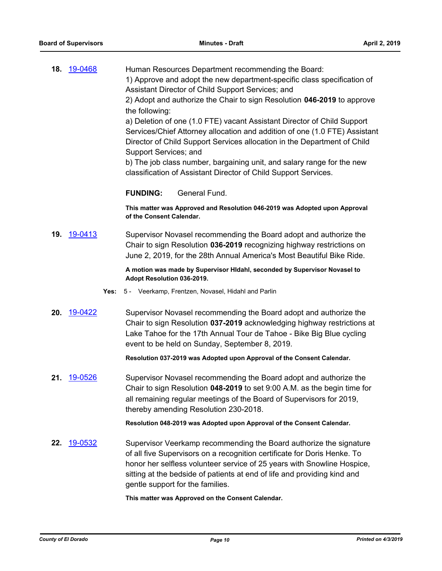| 18. | 19-0468            | Human Resources Department recommending the Board:<br>1) Approve and adopt the new department-specific class specification of<br>Assistant Director of Child Support Services; and<br>2) Adopt and authorize the Chair to sign Resolution 046-2019 to approve<br>the following:<br>a) Deletion of one (1.0 FTE) vacant Assistant Director of Child Support<br>Services/Chief Attorney allocation and addition of one (1.0 FTE) Assistant<br>Director of Child Support Services allocation in the Department of Child<br>Support Services; and<br>b) The job class number, bargaining unit, and salary range for the new<br>classification of Assistant Director of Child Support Services. |  |
|-----|--------------------|--------------------------------------------------------------------------------------------------------------------------------------------------------------------------------------------------------------------------------------------------------------------------------------------------------------------------------------------------------------------------------------------------------------------------------------------------------------------------------------------------------------------------------------------------------------------------------------------------------------------------------------------------------------------------------------------|--|
|     |                    | General Fund.<br><b>FUNDING:</b>                                                                                                                                                                                                                                                                                                                                                                                                                                                                                                                                                                                                                                                           |  |
|     |                    | This matter was Approved and Resolution 046-2019 was Adopted upon Approval<br>of the Consent Calendar.                                                                                                                                                                                                                                                                                                                                                                                                                                                                                                                                                                                     |  |
| 19. | 19-0413            | Supervisor Novasel recommending the Board adopt and authorize the<br>Chair to sign Resolution 036-2019 recognizing highway restrictions on<br>June 2, 2019, for the 28th Annual America's Most Beautiful Bike Ride.                                                                                                                                                                                                                                                                                                                                                                                                                                                                        |  |
|     |                    | A motion was made by Supervisor Hidahl, seconded by Supervisor Novasel to<br>Adopt Resolution 036-2019.                                                                                                                                                                                                                                                                                                                                                                                                                                                                                                                                                                                    |  |
|     | Yes:               | 5 - Veerkamp, Frentzen, Novasel, Hidahl and Parlin                                                                                                                                                                                                                                                                                                                                                                                                                                                                                                                                                                                                                                         |  |
|     | <b>20.</b> 19-0422 | Supervisor Novasel recommending the Board adopt and authorize the<br>Chair to sign Resolution 037-2019 acknowledging highway restrictions at<br>Lake Tahoe for the 17th Annual Tour de Tahoe - Bike Big Blue cycling<br>event to be held on Sunday, September 8, 2019.                                                                                                                                                                                                                                                                                                                                                                                                                     |  |
|     |                    | Resolution 037-2019 was Adopted upon Approval of the Consent Calendar.                                                                                                                                                                                                                                                                                                                                                                                                                                                                                                                                                                                                                     |  |
|     | 21. 19-0526        | Supervisor Novasel recommending the Board adopt and authorize the<br>Chair to sign Resolution 048-2019 to set 9:00 A.M. as the begin time for<br>all remaining regular meetings of the Board of Supervisors for 2019,<br>thereby amending Resolution 230-2018.                                                                                                                                                                                                                                                                                                                                                                                                                             |  |
|     |                    | Resolution 048-2019 was Adopted upon Approval of the Consent Calendar.                                                                                                                                                                                                                                                                                                                                                                                                                                                                                                                                                                                                                     |  |
|     | 22. 19-0532        | Supervisor Veerkamp recommending the Board authorize the signature<br>of all five Supervisors on a recognition certificate for Doris Henke. To<br>honor her selfless volunteer service of 25 years with Snowline Hospice,<br>sitting at the bedside of patients at end of life and providing kind and<br>gentle support for the families.                                                                                                                                                                                                                                                                                                                                                  |  |
|     |                    | This matter was Approved on the Consent Calendar.                                                                                                                                                                                                                                                                                                                                                                                                                                                                                                                                                                                                                                          |  |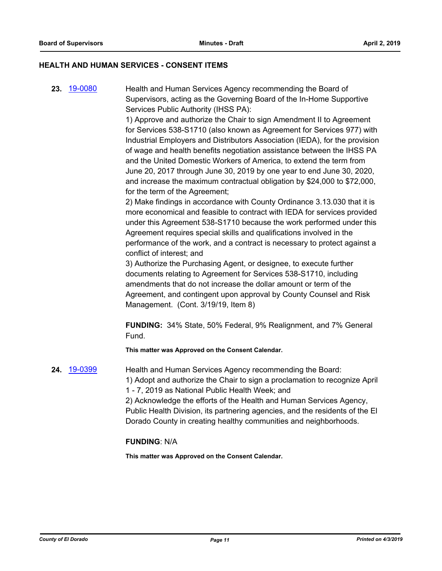#### **HEALTH AND HUMAN SERVICES - CONSENT ITEMS**

**23.** [19-0080](http://eldorado.legistar.com/gateway.aspx?m=l&id=/matter.aspx?key=25401) Health and Human Services Agency recommending the Board of Supervisors, acting as the Governing Board of the In-Home Supportive Services Public Authority (IHSS PA):

> 1) Approve and authorize the Chair to sign Amendment II to Agreement for Services 538-S1710 (also known as Agreement for Services 977) with Industrial Employers and Distributors Association (IEDA), for the provision of wage and health benefits negotiation assistance between the IHSS PA and the United Domestic Workers of America, to extend the term from June 20, 2017 through June 30, 2019 by one year to end June 30, 2020, and increase the maximum contractual obligation by \$24,000 to \$72,000, for the term of the Agreement;

> 2) Make findings in accordance with County Ordinance 3.13.030 that it is more economical and feasible to contract with IEDA for services provided under this Agreement 538-S1710 because the work performed under this Agreement requires special skills and qualifications involved in the performance of the work, and a contract is necessary to protect against a conflict of interest; and

3) Authorize the Purchasing Agent, or designee, to execute further documents relating to Agreement for Services 538-S1710, including amendments that do not increase the dollar amount or term of the Agreement, and contingent upon approval by County Counsel and Risk Management. (Cont. 3/19/19, Item 8)

**FUNDING:** 34% State, 50% Federal, 9% Realignment, and 7% General Fund.

**This matter was Approved on the Consent Calendar.**

**24.** [19-0399](http://eldorado.legistar.com/gateway.aspx?m=l&id=/matter.aspx?key=25720) Health and Human Services Agency recommending the Board: 1) Adopt and authorize the Chair to sign a proclamation to recognize April 1 - 7, 2019 as National Public Health Week; and

2) Acknowledge the efforts of the Health and Human Services Agency, Public Health Division, its partnering agencies, and the residents of the El Dorado County in creating healthy communities and neighborhoods.

#### **FUNDING**: N/A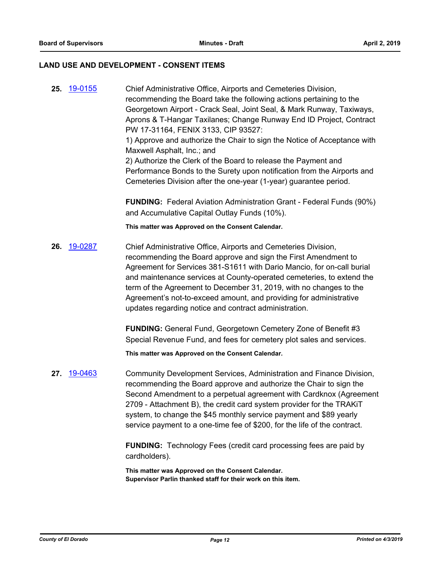#### **LAND USE AND DEVELOPMENT - CONSENT ITEMS**

**25.** [19-0155](http://eldorado.legistar.com/gateway.aspx?m=l&id=/matter.aspx?key=25475) Chief Administrative Office, Airports and Cemeteries Division, recommending the Board take the following actions pertaining to the Georgetown Airport - Crack Seal, Joint Seal, & Mark Runway, Taxiways, Aprons & T-Hangar Taxilanes; Change Runway End ID Project, Contract PW 17-31164, FENIX 3133, CIP 93527: 1) Approve and authorize the Chair to sign the Notice of Acceptance with Maxwell Asphalt, Inc.; and 2) Authorize the Clerk of the Board to release the Payment and Performance Bonds to the Surety upon notification from the Airports and Cemeteries Division after the one-year (1-year) guarantee period. **FUNDING:** Federal Aviation Administration Grant - Federal Funds (90%) and Accumulative Capital Outlay Funds (10%). **This matter was Approved on the Consent Calendar. 26.** [19-0287](http://eldorado.legistar.com/gateway.aspx?m=l&id=/matter.aspx?key=25609) Chief Administrative Office, Airports and Cemeteries Division, recommending the Board approve and sign the First Amendment to Agreement for Services 381-S1611 with Dario Mancio, for on-call burial and maintenance services at County-operated cemeteries, to extend the term of the Agreement to December 31, 2019, with no changes to the Agreement's not-to-exceed amount, and providing for administrative updates regarding notice and contract administration. **FUNDING:** General Fund, Georgetown Cemetery Zone of Benefit #3 Special Revenue Fund, and fees for cemetery plot sales and services. **This matter was Approved on the Consent Calendar. 27.** [19-0463](http://eldorado.legistar.com/gateway.aspx?m=l&id=/matter.aspx?key=25784) Community Development Services, Administration and Finance Division, recommending the Board approve and authorize the Chair to sign the Second Amendment to a perpetual agreement with Cardknox (Agreement

2709 - Attachment B), the credit card system provider for the TRAKiT system, to change the \$45 monthly service payment and \$89 yearly service payment to a one-time fee of \$200, for the life of the contract.

**FUNDING:** Technology Fees (credit card processing fees are paid by cardholders).

**This matter was Approved on the Consent Calendar. Supervisor Parlin thanked staff for their work on this item.**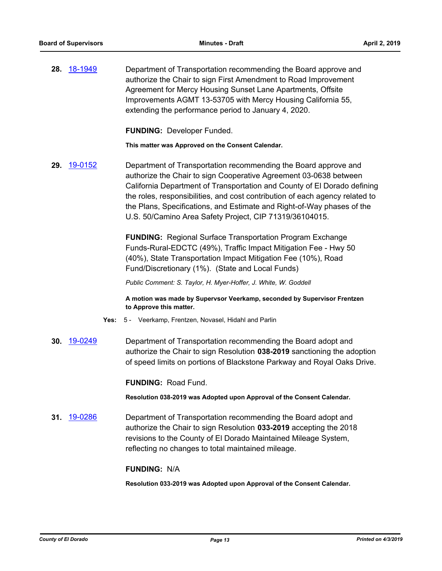**28.** [18-1949](http://eldorado.legistar.com/gateway.aspx?m=l&id=/matter.aspx?key=25299) Department of Transportation recommending the Board approve and authorize the Chair to sign First Amendment to Road Improvement Agreement for Mercy Housing Sunset Lane Apartments, Offsite Improvements AGMT 13-53705 with Mercy Housing California 55, extending the performance period to January 4, 2020.

**FUNDING:** Developer Funded.

**This matter was Approved on the Consent Calendar.**

**29.** [19-0152](http://eldorado.legistar.com/gateway.aspx?m=l&id=/matter.aspx?key=25472) Department of Transportation recommending the Board approve and authorize the Chair to sign Cooperative Agreement 03-0638 between California Department of Transportation and County of El Dorado defining the roles, responsibilities, and cost contribution of each agency related to the Plans, Specifications, and Estimate and Right-of-Way phases of the U.S. 50/Camino Area Safety Project, CIP 71319/36104015.

> **FUNDING:** Regional Surface Transportation Program Exchange Funds-Rural-EDCTC (49%), Traffic Impact Mitigation Fee - Hwy 50 (40%), State Transportation Impact Mitigation Fee (10%), Road Fund/Discretionary (1%). (State and Local Funds)

*Public Comment: S. Taylor, H. Myer-Hoffer, J. White, W. Goddell*

**A motion was made by Supervsor Veerkamp, seconded by Supervisor Frentzen to Approve this matter.**

- **Yes:** 5 Veerkamp, Frentzen, Novasel, Hidahl and Parlin
- **30.** [19-0249](http://eldorado.legistar.com/gateway.aspx?m=l&id=/matter.aspx?key=25570) Department of Transportation recommending the Board adopt and authorize the Chair to sign Resolution **038-2019** sanctioning the adoption of speed limits on portions of Blackstone Parkway and Royal Oaks Drive.

**FUNDING:** Road Fund.

**Resolution 038-2019 was Adopted upon Approval of the Consent Calendar.**

**31.** [19-0286](http://eldorado.legistar.com/gateway.aspx?m=l&id=/matter.aspx?key=25608) Department of Transportation recommending the Board adopt and authorize the Chair to sign Resolution **033-2019** accepting the 2018 revisions to the County of El Dorado Maintained Mileage System, reflecting no changes to total maintained mileage.

#### **FUNDING:** N/A

**Resolution 033-2019 was Adopted upon Approval of the Consent Calendar.**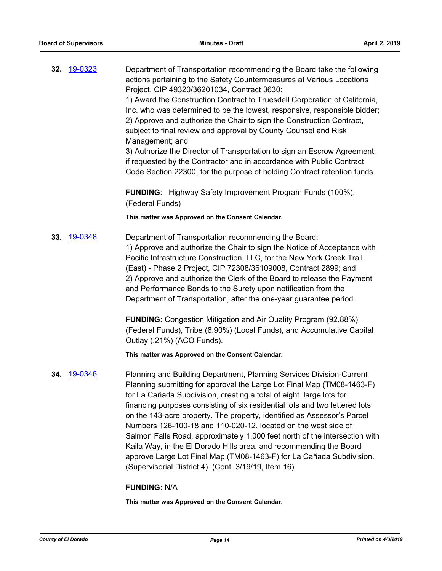**32.** [19-0323](http://eldorado.legistar.com/gateway.aspx?m=l&id=/matter.aspx?key=25644) Department of Transportation recommending the Board take the following actions pertaining to the Safety Countermeasures at Various Locations Project, CIP 49320/36201034, Contract 3630: 1) Award the Construction Contract to Truesdell Corporation of California, Inc. who was determined to be the lowest, responsive, responsible bidder; 2) Approve and authorize the Chair to sign the Construction Contract, subject to final review and approval by County Counsel and Risk Management; and 3) Authorize the Director of Transportation to sign an Escrow Agreement, if requested by the Contractor and in accordance with Public Contract Code Section 22300, for the purpose of holding Contract retention funds. **FUNDING**: Highway Safety Improvement Program Funds (100%). (Federal Funds) **This matter was Approved on the Consent Calendar. 33.** [19-0348](http://eldorado.legistar.com/gateway.aspx?m=l&id=/matter.aspx?key=25669) Department of Transportation recommending the Board: 1) Approve and authorize the Chair to sign the Notice of Acceptance with Pacific Infrastructure Construction, LLC, for the New York Creek Trail (East) - Phase 2 Project, CIP 72308/36109008, Contract 2899; and 2) Approve and authorize the Clerk of the Board to release the Payment and Performance Bonds to the Surety upon notification from the Department of Transportation, after the one-year guarantee period. **FUNDING:** Congestion Mitigation and Air Quality Program (92.88%) (Federal Funds), Tribe (6.90%) (Local Funds), and Accumulative Capital Outlay (.21%) (ACO Funds). **This matter was Approved on the Consent Calendar. 34.** [19-0346](http://eldorado.legistar.com/gateway.aspx?m=l&id=/matter.aspx?key=25667) Planning and Building Department, Planning Services Division-Current Planning submitting for approval the Large Lot Final Map (TM08-1463-F) for La Cañada Subdivision, creating a total of eight large lots for financing purposes consisting of six residential lots and two lettered lots on the 143-acre property. The property, identified as Assessor's Parcel Numbers 126-100-18 and 110-020-12, located on the west side of Salmon Falls Road, approximately 1,000 feet north of the intersection with Kaila Way, in the El Dorado Hills area, and recommending the Board approve Large Lot Final Map (TM08-1463-F) for La Cañada Subdivision. (Supervisorial District 4) (Cont. 3/19/19, Item 16) **FUNDING:** N/A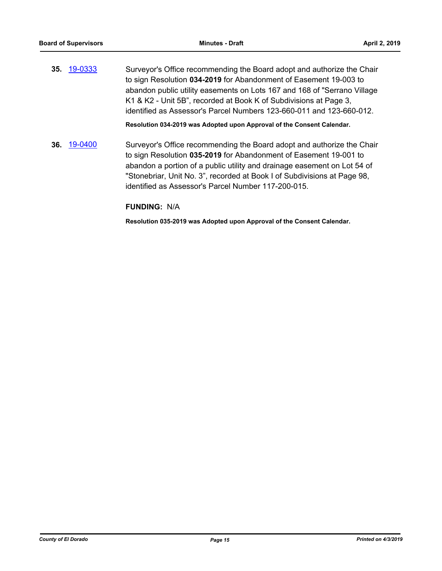**35.** [19-0333](http://eldorado.legistar.com/gateway.aspx?m=l&id=/matter.aspx?key=25654) Surveyor's Office recommending the Board adopt and authorize the Chair to sign Resolution **034-2019** for Abandonment of Easement 19-003 to abandon public utility easements on Lots 167 and 168 of "Serrano Village K1 & K2 - Unit 5B", recorded at Book K of Subdivisions at Page 3, identified as Assessor's Parcel Numbers 123-660-011 and 123-660-012.

**Resolution 034-2019 was Adopted upon Approval of the Consent Calendar.**

**36.** [19-0400](http://eldorado.legistar.com/gateway.aspx?m=l&id=/matter.aspx?key=25721) Surveyor's Office recommending the Board adopt and authorize the Chair to sign Resolution **035-2019** for Abandonment of Easement 19-001 to abandon a portion of a public utility and drainage easement on Lot 54 of "Stonebriar, Unit No. 3", recorded at Book I of Subdivisions at Page 98, identified as Assessor's Parcel Number 117-200-015.

#### **FUNDING:** N/A

**Resolution 035-2019 was Adopted upon Approval of the Consent Calendar.**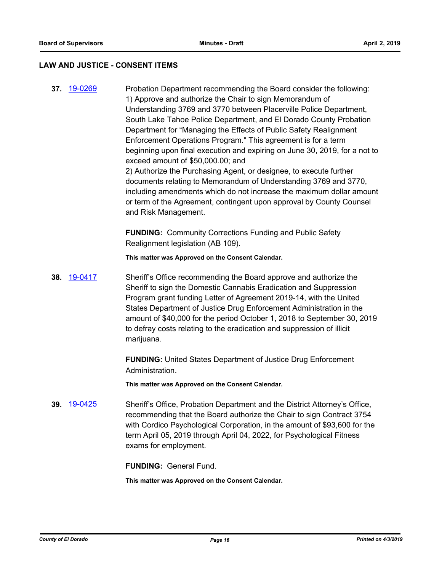#### **LAW AND JUSTICE - CONSENT ITEMS**

**37.** [19-0269](http://eldorado.legistar.com/gateway.aspx?m=l&id=/matter.aspx?key=25591) Probation Department recommending the Board consider the following: 1) Approve and authorize the Chair to sign Memorandum of Understanding 3769 and 3770 between Placerville Police Department, South Lake Tahoe Police Department, and El Dorado County Probation Department for "Managing the Effects of Public Safety Realignment Enforcement Operations Program." This agreement is for a term beginning upon final execution and expiring on June 30, 2019, for a not to exceed amount of \$50,000.00; and 2) Authorize the Purchasing Agent, or designee, to execute further documents relating to Memorandum of Understanding 3769 and 3770, including amendments which do not increase the maximum dollar amount or term of the Agreement, contingent upon approval by County Counsel and Risk Management.

> **FUNDING:** Community Corrections Funding and Public Safety Realignment legislation (AB 109).

**This matter was Approved on the Consent Calendar.**

**38.** [19-0417](http://eldorado.legistar.com/gateway.aspx?m=l&id=/matter.aspx?key=25738) Sheriff's Office recommending the Board approve and authorize the Sheriff to sign the Domestic Cannabis Eradication and Suppression Program grant funding Letter of Agreement 2019-14, with the United States Department of Justice Drug Enforcement Administration in the amount of \$40,000 for the period October 1, 2018 to September 30, 2019 to defray costs relating to the eradication and suppression of illicit marijuana.

> **FUNDING:** United States Department of Justice Drug Enforcement Administration.

**This matter was Approved on the Consent Calendar.**

**39.** [19-0425](http://eldorado.legistar.com/gateway.aspx?m=l&id=/matter.aspx?key=25746) Sheriff's Office, Probation Department and the District Attorney's Office, recommending that the Board authorize the Chair to sign Contract 3754 with Cordico Psychological Corporation, in the amount of \$93,600 for the term April 05, 2019 through April 04, 2022, for Psychological Fitness exams for employment.

**FUNDING:** General Fund.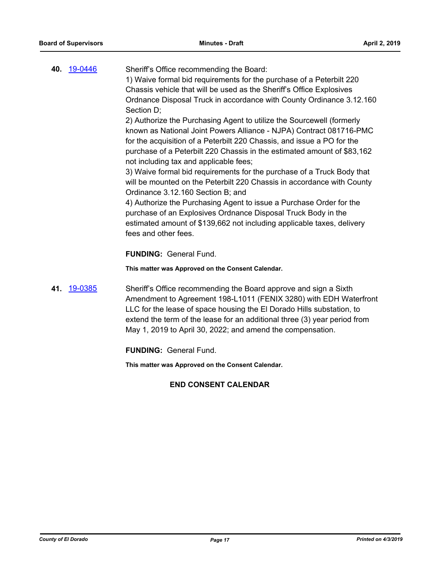| 40. 19-0446 | Sheriff's Office recommending the Board:<br>1) Waive formal bid requirements for the purchase of a Peterbilt 220<br>Chassis vehicle that will be used as the Sheriff's Office Explosives |
|-------------|------------------------------------------------------------------------------------------------------------------------------------------------------------------------------------------|
|             | Ordnance Disposal Truck in accordance with County Ordinance 3.12.160                                                                                                                     |
|             | Section D;                                                                                                                                                                               |
|             | 2) Authorize the Purchasing Agent to utilize the Sourcewell (formerly                                                                                                                    |
|             | known as National Joint Powers Alliance - NJPA) Contract 081716-PMC                                                                                                                      |
|             | for the acquisition of a Peterbilt 220 Chassis, and issue a PO for the                                                                                                                   |
|             | purchase of a Peterbilt 220 Chassis in the estimated amount of \$83,162                                                                                                                  |
|             | not including tax and applicable fees;                                                                                                                                                   |
|             | 3) Waive formal bid requirements for the purchase of a Truck Body that                                                                                                                   |
|             | will be mounted on the Peterbilt 220 Chassis in accordance with County                                                                                                                   |
|             | Ordinance 3.12.160 Section B; and                                                                                                                                                        |
|             | 4) Authorize the Purchasing Agent to issue a Purchase Order for the                                                                                                                      |
|             | purchase of an Explosives Ordnance Disposal Truck Body in the                                                                                                                            |
|             | estimated amount of \$139,662 not including applicable taxes, delivery                                                                                                                   |
|             | fees and other fees.                                                                                                                                                                     |

**FUNDING:** General Fund.

**This matter was Approved on the Consent Calendar.**

**41.** [19-0385](http://eldorado.legistar.com/gateway.aspx?m=l&id=/matter.aspx?key=25706) Sheriff's Office recommending the Board approve and sign a Sixth Amendment to Agreement 198-L1011 (FENIX 3280) with EDH Waterfront LLC for the lease of space housing the El Dorado Hills substation, to extend the term of the lease for an additional three (3) year period from May 1, 2019 to April 30, 2022; and amend the compensation.

**FUNDING:** General Fund.

**This matter was Approved on the Consent Calendar.**

## **END CONSENT CALENDAR**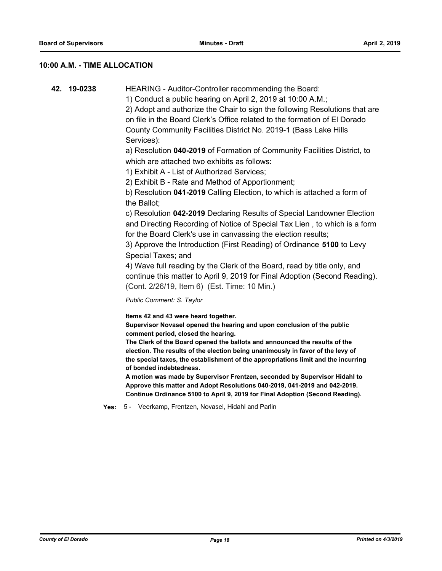#### **10:00 A.M. - TIME ALLOCATION**

**42. 19-0238** HEARING - Auditor-Controller recommending the Board:

1) Conduct a public hearing on April 2, 2019 at 10:00 A.M.;

2) Adopt and authorize the Chair to sign the following Resolutions that are on file in the Board Clerk's Office related to the formation of El Dorado County Community Facilities District No. 2019-1 (Bass Lake Hills Services):

a) Resolution **040-2019** of Formation of Community Facilities District, to which are attached two exhibits as follows:

1) Exhibit A - List of Authorized Services;

2) Exhibit B - Rate and Method of Apportionment;

b) Resolution **041-2019** Calling Election, to which is attached a form of the Ballot;

c) Resolution **042-2019** Declaring Results of Special Landowner Election and Directing Recording of Notice of Special Tax Lien , to which is a form for the Board Clerk's use in canvassing the election results;

3) Approve the Introduction (First Reading) of Ordinance **5100** to Levy Special Taxes; and

4) Wave full reading by the Clerk of the Board, read by title only, and continue this matter to April 9, 2019 for Final Adoption (Second Reading). (Cont. 2/26/19, Item 6) (Est. Time: 10 Min.)

*Public Comment: S. Taylor*

**Items 42 and 43 were heard together.**

**Supervisor Novasel opened the hearing and upon conclusion of the public comment period, closed the hearing.**

**The Clerk of the Board opened the ballots and announced the results of the election. The results of the election being unanimously in favor of the levy of the special taxes, the establishment of the appropriations limit and the incurring of bonded indebtedness.**

**A motion was made by Supervisor Frentzen, seconded by Supervisor Hidahl to Approve this matter and Adopt Resolutions 040-2019, 041-2019 and 042-2019. Continue Ordinance 5100 to April 9, 2019 for Final Adoption (Second Reading).**

**Yes:** 5 - Veerkamp, Frentzen, Novasel, Hidahl and Parlin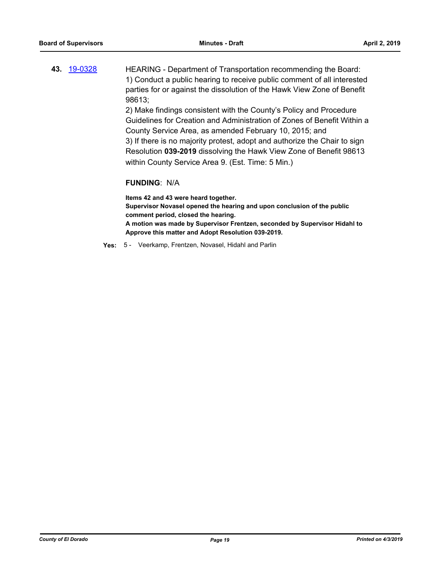**43.** [19-0328](http://eldorado.legistar.com/gateway.aspx?m=l&id=/matter.aspx?key=25649) HEARING - Department of Transportation recommending the Board: 1) Conduct a public hearing to receive public comment of all interested parties for or against the dissolution of the Hawk View Zone of Benefit 98613;

2) Make findings consistent with the County's Policy and Procedure Guidelines for Creation and Administration of Zones of Benefit Within a County Service Area, as amended February 10, 2015; and 3) If there is no majority protest, adopt and authorize the Chair to sign Resolution **039-2019** dissolving the Hawk View Zone of Benefit 98613 within County Service Area 9. (Est. Time: 5 Min.)

#### **FUNDING**: N/A

**Items 42 and 43 were heard together. Supervisor Novasel opened the hearing and upon conclusion of the public comment period, closed the hearing. A motion was made by Supervisor Frentzen, seconded by Supervisor Hidahl to Approve this matter and Adopt Resolution 039-2019.**

**Yes:** 5 - Veerkamp, Frentzen, Novasel, Hidahl and Parlin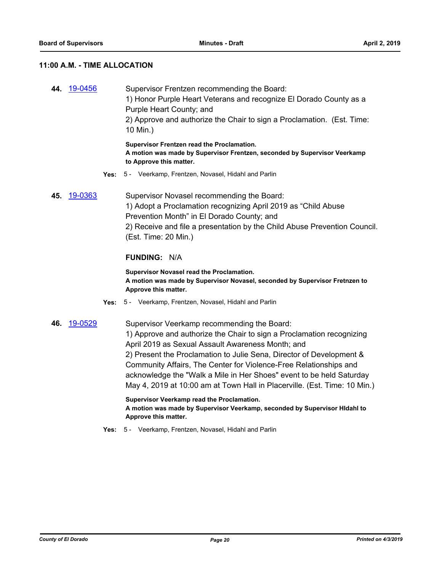#### **11:00 A.M. - TIME ALLOCATION**

**44.** [19-0456](http://eldorado.legistar.com/gateway.aspx?m=l&id=/matter.aspx?key=25777) Supervisor Frentzen recommending the Board: 1) Honor Purple Heart Veterans and recognize El Dorado County as a Purple Heart County; and 2) Approve and authorize the Chair to sign a Proclamation. (Est. Time: 10 Min.) **Supervisor Frentzen read the Proclamation.**

**A motion was made by Supervisor Frentzen, seconded by Supervisor Veerkamp to Approve this matter.**

- **Yes:** 5 Veerkamp, Frentzen, Novasel, Hidahl and Parlin
- **45.** [19-0363](http://eldorado.legistar.com/gateway.aspx?m=l&id=/matter.aspx?key=25684) Supervisor Novasel recommending the Board: 1) Adopt a Proclamation recognizing April 2019 as "Child Abuse Prevention Month" in El Dorado County; and 2) Receive and file a presentation by the Child Abuse Prevention Council. (Est. Time: 20 Min.)

#### **FUNDING:** N/A

**Supervisor Novasel read the Proclamation. A motion was made by Supervisor Novasel, seconded by Supervisor Fretnzen to Approve this matter.**

- **Yes:** 5 Veerkamp, Frentzen, Novasel, Hidahl and Parlin
- **46.** [19-0529](http://eldorado.legistar.com/gateway.aspx?m=l&id=/matter.aspx?key=25850) Supervisor Veerkamp recommending the Board: 1) Approve and authorize the Chair to sign a Proclamation recognizing April 2019 as Sexual Assault Awareness Month; and 2) Present the Proclamation to Julie Sena, Director of Development & Community Affairs, The Center for Violence-Free Relationships and acknowledge the "Walk a Mile in Her Shoes" event to be held Saturday May 4, 2019 at 10:00 am at Town Hall in Placerville. (Est. Time: 10 Min.)

**Supervisor Veerkamp read the Proclamation. A motion was made by Supervisor Veerkamp, seconded by Supervisor HIdahl to Approve this matter.**

**Yes:** 5 - Veerkamp, Frentzen, Novasel, Hidahl and Parlin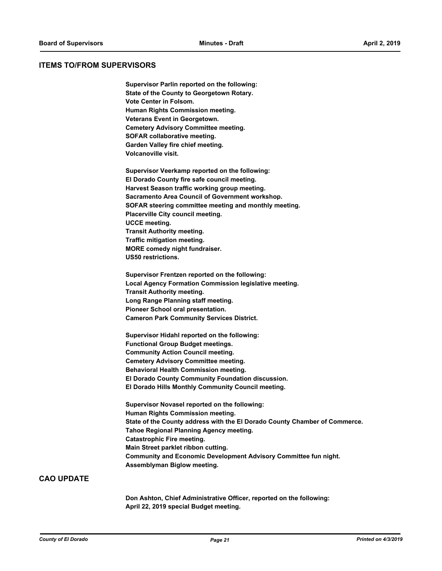#### **ITEMS TO/FROM SUPERVISORS**

**Supervisor Parlin reported on the following: State of the County to Georgetown Rotary. Vote Center in Folsom. Human Rights Commission meeting. Veterans Event in Georgetown. Cemetery Advisory Committee meeting. SOFAR collaborative meeting. Garden Valley fire chief meeting. Volcanoville visit.**

**Supervisor Veerkamp reported on the following: El Dorado County fire safe council meeting. Harvest Season traffic working group meeting. Sacramento Area Council of Government workshop. SOFAR steering committee meeting and monthly meeting. Placerville City council meeting. UCCE meeting. Transit Authority meeting. Traffic mitigation meeting. MORE comedy night fundraiser. US50 restrictions.**

**Supervisor Frentzen reported on the following: Local Agency Formation Commission legislative meeting. Transit Authority meeting. Long Range Planning staff meeting. Pioneer School oral presentation. Cameron Park Community Services District.**

**Supervisor Hidahl reported on the following: Functional Group Budget meetings. Community Action Council meeting. Cemetery Advisory Committee meeting. Behavioral Health Commission meeting. El Dorado County Community Foundation discussion. El Dorado Hills Monthly Community Council meeting.**

**Supervisor Novasel reported on the following: Human Rights Commission meeting. State of the County address with the El Dorado County Chamber of Commerce. Tahoe Regional Planning Agency meeting. Catastrophic Fire meeting. Main Street parklet ribbon cutting. Community and Economic Development Advisory Committee fun night. Assemblyman Biglow meeting.**

#### **CAO UPDATE**

**Don Ashton, Chief Administrative Officer, reported on the following: April 22, 2019 special Budget meeting.**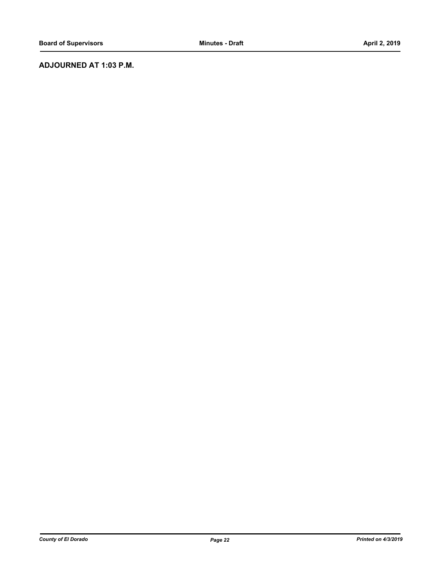### **ADJOURNED AT 1:03 P.M.**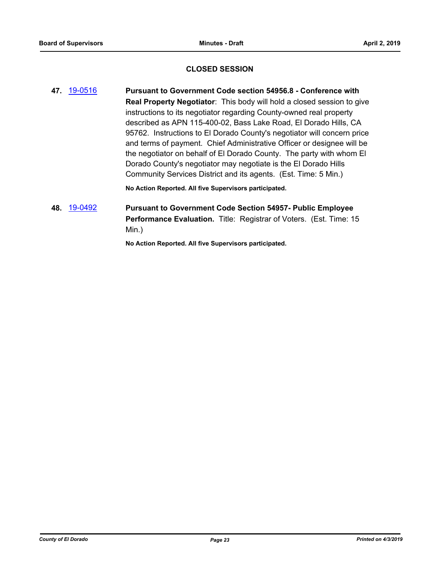#### **CLOSED SESSION**

**47.** [19-0516](http://eldorado.legistar.com/gateway.aspx?m=l&id=/matter.aspx?key=25837) **Pursuant to Government Code section 54956.8 - Conference with Real Property Negotiator**: This body will hold a closed session to give instructions to its negotiator regarding County-owned real property described as APN 115-400-02, Bass Lake Road, El Dorado Hills, CA 95762. Instructions to El Dorado County's negotiator will concern price and terms of payment. Chief Administrative Officer or designee will be the negotiator on behalf of El Dorado County. The party with whom El Dorado County's negotiator may negotiate is the El Dorado Hills Community Services District and its agents. (Est. Time: 5 Min.)

**No Action Reported. All five Supervisors participated.**

## **48.** [19-0492](http://eldorado.legistar.com/gateway.aspx?m=l&id=/matter.aspx?key=25813) **Pursuant to Government Code Section 54957- Public Employee Performance Evaluation.** Title: Registrar of Voters. (Est. Time: 15 Min.)

**No Action Reported. All five Supervisors participated.**